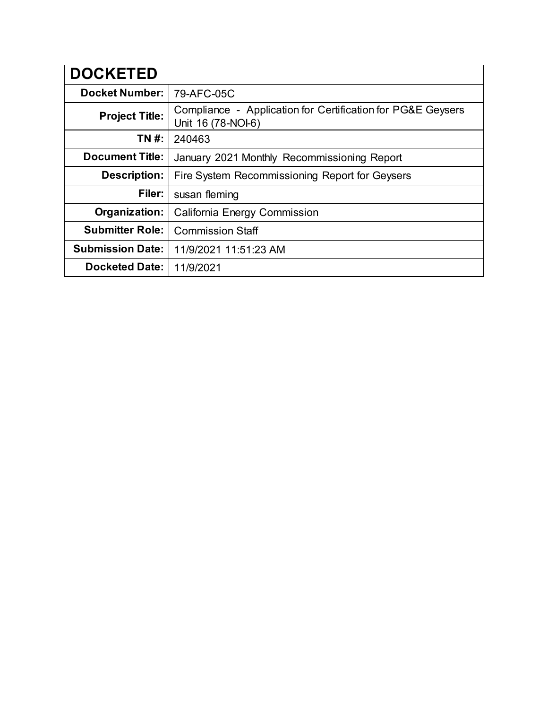| <b>DOCKETED</b>         |                                                                                   |
|-------------------------|-----------------------------------------------------------------------------------|
| <b>Docket Number:</b>   | 79-AFC-05C                                                                        |
| <b>Project Title:</b>   | Compliance - Application for Certification for PG&E Geysers<br>Unit 16 (78-NOI-6) |
| TN #:                   | 240463                                                                            |
| <b>Document Title:</b>  | January 2021 Monthly Recommissioning Report                                       |
| <b>Description:</b>     | Fire System Recommissioning Report for Geysers                                    |
| Filer:                  | susan fleming                                                                     |
| Organization:           | <b>California Energy Commission</b>                                               |
| <b>Submitter Role:</b>  | <b>Commission Staff</b>                                                           |
| <b>Submission Date:</b> | 11/9/2021 11:51:23 AM                                                             |
| <b>Docketed Date:</b>   | 11/9/2021                                                                         |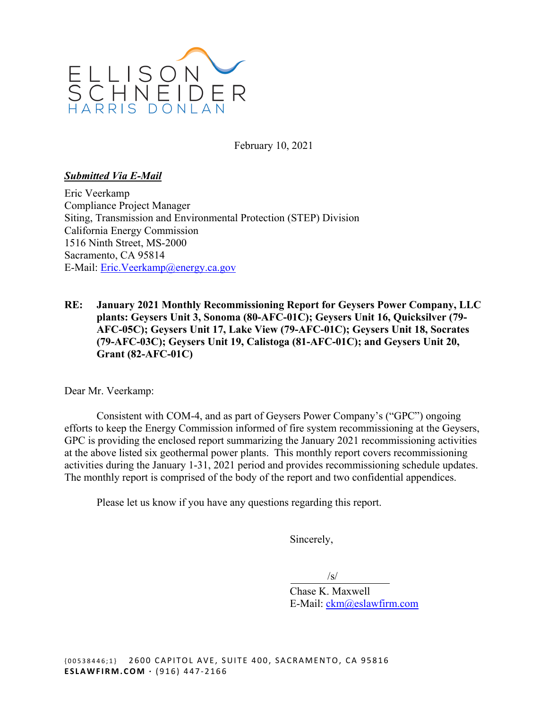

February 10, 2021

### *Submitted Via E-Mail*

Eric Veerkamp Compliance Project Manager Siting, Transmission and Environmental Protection (STEP) Division California Energy Commission 1516 Ninth Street, MS-2000 Sacramento, CA 95814 E-Mail: [Eric.Veerkamp@energy.ca.gov](mailto:Eric.Veerkamp@energy.ca.gov) 

**RE: January 2021 Monthly Recommissioning Report for Geysers Power Company, LLC plants: Geysers Unit 3, Sonoma (80-AFC-01C); Geysers Unit 16, Quicksilver (79- AFC-05C); Geysers Unit 17, Lake View (79-AFC-01C); Geysers Unit 18, Socrates (79-AFC-03C); Geysers Unit 19, Calistoga (81-AFC-01C); and Geysers Unit 20, Grant (82-AFC-01C)** 

Dear Mr. Veerkamp:

Consistent with COM-4, and as part of Geysers Power Company's ("GPC") ongoing efforts to keep the Energy Commission informed of fire system recommissioning at the Geysers, GPC is providing the enclosed report summarizing the January 2021 recommissioning activities at the above listed six geothermal power plants. This monthly report covers recommissioning activities during the January 1-31, 2021 period and provides recommissioning schedule updates. The monthly report is comprised of the body of the report and two confidential appendices.

Please let us know if you have any questions regarding this report.

Sincerely,

 $\sqrt{s}$ 

Chase K. Maxwell E-Mail: [ckm@eslawfirm.com](mailto:ckm@eslawfirm.com)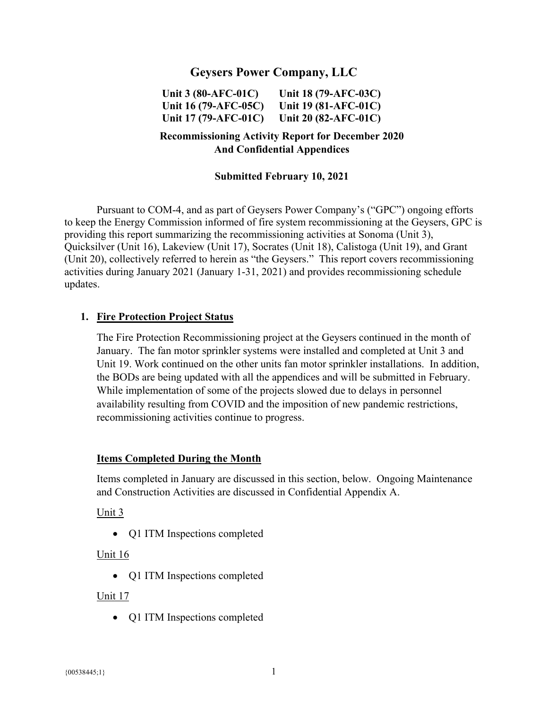# **Geysers Power Company, LLC**

**Unit 3 (80-AFC-01C) Unit 18 (79-AFC-03C) Unit 16 (79-AFC-05C) Unit 19 (81-AFC-01C) Unit 17 (79-AFC-01C) Unit 20 (82-AFC-01C)** 

## **Recommissioning Activity Report for December 2020 And Confidential Appendices**

### **Submitted February 10, 2021**

Pursuant to COM-4, and as part of Geysers Power Company's ("GPC") ongoing efforts to keep the Energy Commission informed of fire system recommissioning at the Geysers, GPC is providing this report summarizing the recommissioning activities at Sonoma (Unit 3), Quicksilver (Unit 16), Lakeview (Unit 17), Socrates (Unit 18), Calistoga (Unit 19), and Grant (Unit 20), collectively referred to herein as "the Geysers." This report covers recommissioning activities during January 2021 (January 1-31, 2021) and provides recommissioning schedule updates.

#### **1. Fire Protection Project Status**

 the BODs are being updated with all the appendices and will be submitted in February. While implementation of some of the projects slowed due to delays in personnel The Fire Protection Recommissioning project at the Geysers continued in the month of January. The fan motor sprinkler systems were installed and completed at Unit 3 and Unit 19. Work continued on the other units fan motor sprinkler installations. In addition, availability resulting from COVID and the imposition of new pandemic restrictions, recommissioning activities continue to progress.

#### **Items Completed During the Month**

Items completed in January are discussed in this section, below. Ongoing Maintenance and Construction Activities are discussed in Confidential Appendix A.

#### Unit 3

• O1 ITM Inspections completed

#### Unit 16

• Q1 ITM Inspections completed

#### Unit 17

• Q1 ITM Inspections completed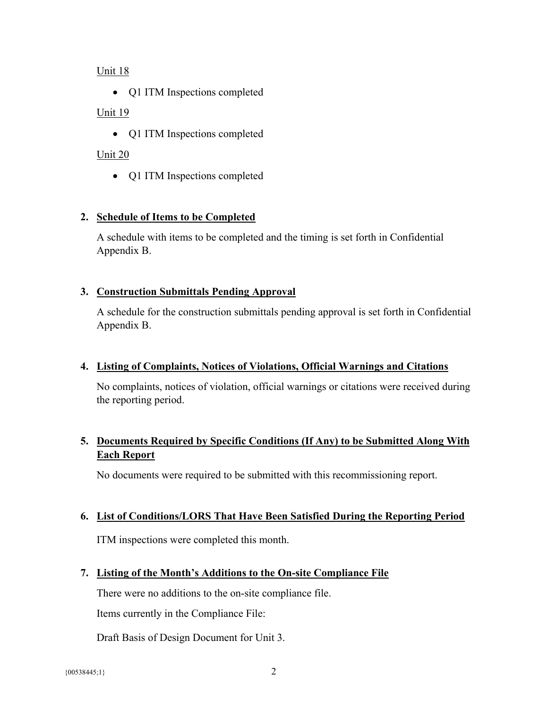### Unit 18

• Q1 ITM Inspections completed

## Unit 19

• Q1 ITM Inspections completed

# Unit 20

• Q1 ITM Inspections completed

# **2. Schedule of Items to be Completed**

A schedule with items to be completed and the timing is set forth in Confidential Appendix B.

### **3. Construction Submittals Pending Approval**

A schedule for the construction submittals pending approval is set forth in Confidential Appendix B.

### **4. Listing of Complaints, Notices of Violations, Official Warnings and Citations**

No complaints, notices of violation, official warnings or citations were received during the reporting period.

# **Each Report 5. Documents Required by Specific Conditions (If Any) to be Submitted Along With**

No documents were required to be submitted with this recommissioning report.

### **6. List of Conditions/LORS That Have Been Satisfied During the Reporting Period**

ITM inspections were completed this month.

# **7. Listing of the Month's Additions to the On-site Compliance File**

There were no additions to the on-site compliance file.

Items currently in the Compliance File:

Draft Basis of Design Document for Unit 3.